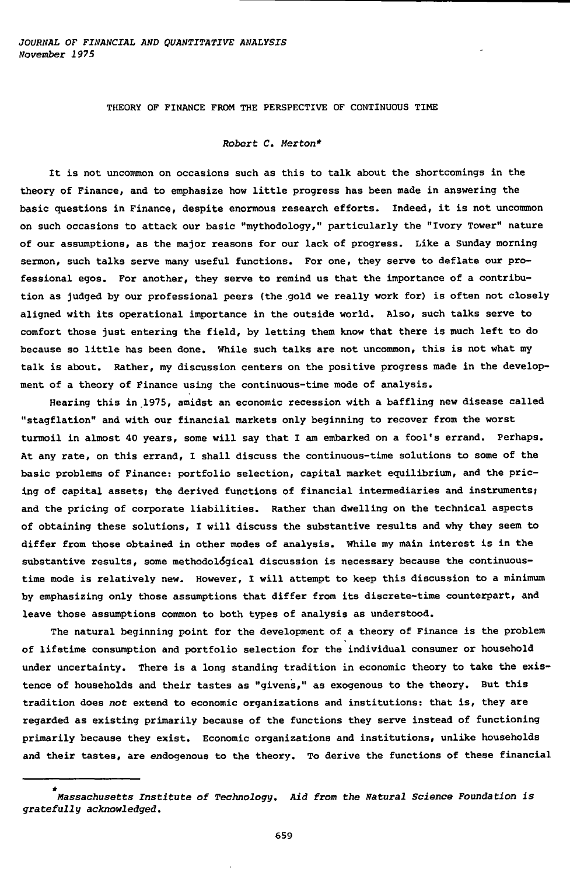THEORY OF FINANCE FROM THE PERSPECTIVE OF CONTINUOUS TIME

## Robert C. Merton\*

It is not uncommon on occasions such as this to talk about the shortcomings in the theory of Finance, and to emphasize how little progress has been made in answering the basic questions in Finance, despite enormous research efforts. Indeed, it is not uncommon on such occasions to attack our basic "mythodology," particularly the "Ivory Tower" nature of our assumptions, as the major reasons for our lack of progress. Like a Sunday morning sermon, such talks serve many useful functions. For one, they serve to deflate our professional egos. For another, they serve to remind us that the importance of a contribution as judged by our professional peers (the gold we really work for) is often not closely aligned with its operational importance in the outside world. Also, such talks serve to comfort those just entering the field, by letting them know that there is much left to do because so little has been done. While such talks are not uncommon, this is not what my talk is about. Rather, my discussion centers on the positive progress made in the development of a theory of Finance using the continuous-time mode of analysis.

Hearing this in 1975, amidst an economic recession with a baffling new disease called "stagflation" and with our financial markets only beginning to recover from the worst turmoil in almost 40 years, some will say that I am embarked on a fool's errand. Perhaps. At any rate, on this errand, I shall discuss the continuous-time solutions to some of the basic problems of Finance: portfolio selection, capital market equilibrium, and the pricing of capital assets; the derived functions of financial intermediaries and instruments; and the pricing of corporate liabilities. Rather than dwelling on the technical aspects of obtaining these solutions, I will discuss the substantive results and why they seem to differ from those obtained in other modes of analysis. While my main interest is in the substantive results, some methodológical discussion is necessary because the continuoustime mode is relatively new. However, I will attempt to keep this discussion to a minimum by emphasizing only those assumptions that differ from its discrete-time counterpart, and leave those assumptions common to both types of analysis as understood.

The natural beginning point for the development of a theory of Finance is the problem of lifetime consumption and portfolio selection for the individual consumer or household under uncertainty. There is a long standing tradition in economic theory to take the existence of households and their tastes as "givens," as exogenous to the theory. But this tradition does not extend to economic organizations and institutions: that is, they are regarded as existing primarily because of the functions they serve instead of functioning primarily because they exist. Economic organizations and institutions, unlike households and their tastes, are endogenous to the theory. To derive the functions of these financial

<sup>\*</sup> Massachusetts Institute of Technology. Aid from the Natural Science Foundation is gratefully acknowledged.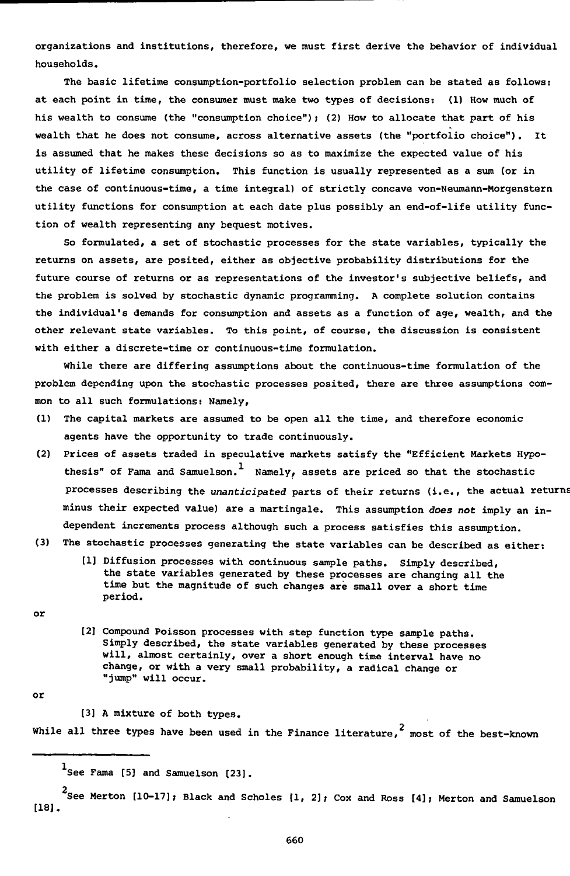**organizations and institutions, therefore, we must first derive the behavior of individual households.**

**The basic lifetime consumption-portfolio selection problem can be stated as follows: at each point in time, the consumer must make two types of decisions: (1) How much of his wealth to consume (the "consumption choice"); (2) How to allocate that part of his wealth that he does not consume, across alternative assets (the "portfolio choice"). It is assumed that he makes these decisions so as to maximize the expected value of his utility of lifetime consumption. This function is usually represented as a sum (or in the case of continuous-time, a time integral) of strictly concave von-Neumann-Morgenstern utility functions for consumption at each date plus possibly an end-of-life utility function of wealth representing any bequest motives.**

**So formulated, a set of stochastic processes for the state variables, typically the returns on assets, are posited, either as objective probability distributions for the future course of returns or as representations of the investor's subjective beliefs, and the problem is solved by stochastic dynamic programming. A complete solution contains the individual's demands for consumption and assets as a function of age, wealth, and the other relevant state variables. To this point, of course, the discussion is consistent with either a discrete-time or continuous-time formulation.**

**While there are differing assumptions about the continuous-time formulation of the problem depending upon the stochastic processes posited, there are three assumptions com**mon to all such formulations: Namely,

- **(1) The capital markets are assumed to be open all the time, and therefore economic agents have the opportunity to trade continuously.**
- **(2) Prices of assets traded in speculative markets satisfy the "Efficient Markets Hypothesis" of Fama and Samuelson. Namely, assets are priced so that the stochastic processes describing the unanticipated parts of their returns (i.e., the actual returns minus their expected value) are a martingale. This assumption does not imply an independent increments process although such a process satisfies this assumption.**
- **(3) The stochastic processes generating the state variables can be described as either:**
	- **[1] Diffusion processes with continuous sample paths. Simply described, the state variables generated by these processes are changing all the time but the magnitude of such changes are small over a short time period.**

**or**

**[2] Compound Poisson processes with step function type sample paths. Simply described, the state variables generated by these processes will, almost certainly, over a short enough time interval have no change, or with a very small probability, a radical change or "jump" will occur.**

**or**

**[3] A mixture of both types.**

While all three types have been used in the Finance literature,<sup>2</sup> most of the best-known

**See Merton [10-17]; Black and Scholes [1, 2] ; Cox and Ross [4]; Merton and Samuelson [18].**

**See Fama [5] and Samuelson [23].**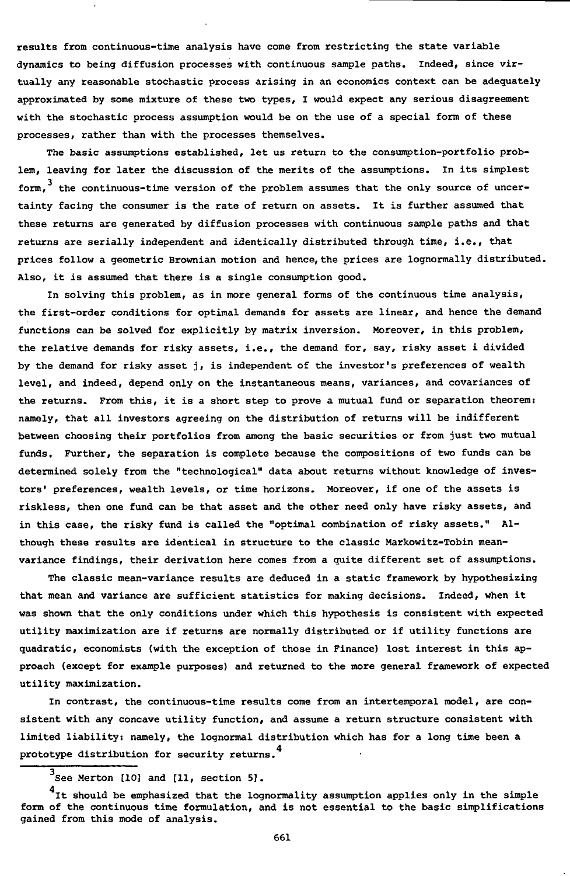results from continuous-time analysis have come from restricting the state variable dynamics to being diffusion processes with continuous sample paths. Indeed, since virtually any reasonable stochastic process arising in an economics context can be adequately approximated by some mixture of these two types, I would expect any serious disagreement with the stochastic process assumption would be on the use of a special form of these processes, rather than with the processes themselves.

The basic assumptions established, let us return to the consumption-portfolio problem, leaving for later the discussion of the merits of the assumptions. In its simplest form.<sup>3</sup> the continuous-time version of the problem assumes that the only source of uncertainty facing the consumer is the rate of return on assets. It is further assumed that these returns are generated by diffusion processes with continuous sample paths and that returns are serially independent and identically distributed through time, i.e., that prices follow a geometric Brownian motion and hence, the prices are lognormally distributed. Also, it is assumed that there is a single consumption good.

In solving this problem, as in more general forms of the continuous time analysis, the first-order conditions for optimal demands for assets are linear, and hence the demand functions can be solved for explicitly by matrix inversion. Moreover, in this problem, the relative demands for risky assets, i.e., the demand for, say, risky asset i divided by the demand for risky asset j, is independent of the investor's preferences of wealth level, and indeed, depend only on the instantaneous means, variances, and covariances of the returns. From this, it is a short step to prove a mutual fund or separation theorem: namely, that all investors agreeing on the distribution of returns will be indifferent between choosing their portfolios from among the basic securities or from just two mutual funds. Further, the separation is complete because the compositions of two funds can be determined solely from the "technological" data about returns without knowledge of investors' preferences, wealth levels, or time horizons. Moreover, if one of the assets is riskless, then one fund can be that asset and the other need only have risky assets, and in this case, the risky fund is called the "optimal combination of risky assets." Although these results are identical in structure to the classic Markowitz-Tobin meanvariance findings, their derivation here comes from a quite different set of assumptions.

The classic mean-variance results are deduced in a static framework by hypothesizing that mean and variance are sufficient statistics for making decisions. Indeed, when it was shown that the only conditions under which this hypothesis is consistent with expected utility maximization are if returns are normally distributed or if utility functions are quadratic, economists (with the exception of those in Finance) lost interest in this approach (except for example purposes) and returned to the more general framework of expected utility maximization.

In contrast, the continuous-time results come from an intertemporal model, are consistent with any concave utility function, and assume a return structure consistent with limited liability: namely, the lognormal distribution which has for a long time been a 4 prototype distribution for security returns.

 $^3$ See Merton [10] and [11, section 5].

 $4$ It should be emphasized that the lognormality assumption applies only in the simple form of the continuous time formulation, and is not essential to the basic simplifications som of the continuous time formulation, and is not essential to the basic simplifications gained from this mode of analysis.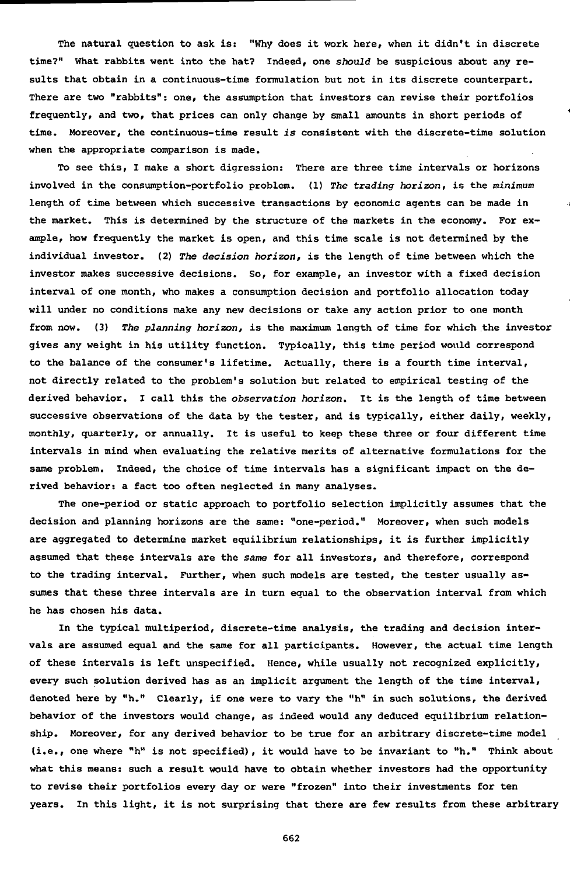The natural question to ask is: "Why does it work here, when it didn't in discrete time?" What rabbits went into the hat? Indeed, one should be suspicious about any results that obtain in a continuous-time formulation but not in its discrete counterpart. There are two "rabbits": one, the assumption that investors can revise their portfolios frequently, and two, that prices can only change by small amounts in short periods of time. Moreover, the continuous-time result is consistent with the discrete-time solution when the appropriate comparison is made.

To see this, I make a short digression: There are three time intervals or horizons involved in the consumption-portfolio problem. (1) The trading horizon, is the minimum length of time between which successive transactions by economic agents can be made in the market. This is determined by the structure of the markets in the economy. For example, how frequently the market is open, and this time scale is not determined by the individual investor. (2) The decision horizon, is the length of time between which the investor makes successive decisions. So, for example, an investor with a fixed decision interval of one month, who makes a consumption decision and portfolio allocation today will under no conditions make any new decisions or take any action prior to one month from now. (3) The planning horizon, is the maximum length of time for which the investor gives any weight in his utility function. Typically, this time period would correspond to the balance of the consumer's lifetime. Actually, there is a fourth time interval, not directly related to the problem's solution but related to empirical testing of the derived behavior. I call this the observation horizon. It is the length of time between successive observations of the data by the tester, and is typically, either daily, weekly, monthly, quarterly, or annually. It is useful to keep these three or four different time intervals in mind when evaluating the relative merits of alternative formulations for the same problem. Indeed, the choice of time intervals has a significant impact on the derived behavior: a fact too often neglected in many analyses.

The one-period or static approach to portfolio selection implicitly assumes that the decision and planning horizons are the same: "one-period." Moreover, when such models are aggregated to determine market equilibrium relationships, it is further implicitly assumed that these intervals are the same for all investors, and therefore, correspond to the trading interval. Further, when such models are tested, the tester usually assumes that these three intervals are in turn equal to the observation interval from which he has chosen his data.

In the typical multiperiod, discrete-time analysis, the trading and decision intervals are assumed equal and the same for all participants. However, the actual time length of these intervals is left unspecified. Hence, while usually not recognized explicitly, every such solution derived has as an implicit argument the length of the time interval, denoted here by "h." Clearly, if one were to vary the "h" in such solutions, the derived behavior of the investors would change, as indeed would any deduced equilibrium relationship. Moreover, for any derived behavior to be true for an arbitrary discrete-time model (i.e., one where "h" is not specified), it would have to be invariant to "h." Think about what this means: such a result would have to obtain whether investors had the opportunity to revise their portfolios every day or were "frozen" into their investments for ten years. In this light, it is not surprising that there are few results from these arbitrary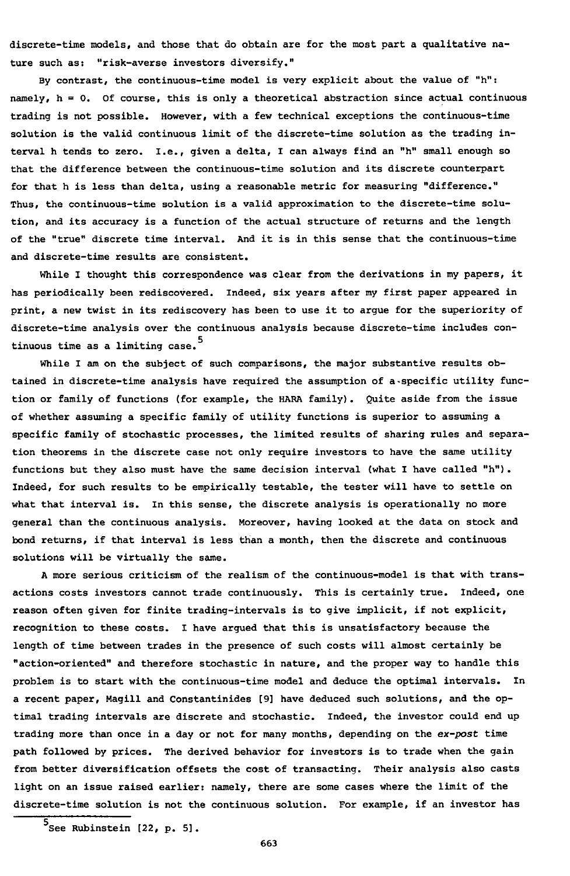discrete-time models, and those that do obtain are for the most part a qualitative nature such as: "risk-averse investors diversify."

By contrast, the continuous-time model is very explicit about the value of "h": namely,  $h = 0$ . Of course, this is only a theoretical abstraction since actual continuous trading is not possible. However, with a few technical exceptions the continuous-time solution is the valid continuous limit of the discrete-time solution as the trading interval h tends to zero. I.e., given a delta, I can always find an "h" small enough so that the difference between the continuous-time solution and its discrete counterpart for that h is less than delta, using a reasonable metric for measuring "difference." Thus, the continuous-time solution is a valid approximation to the discrete-time solution, and its accuracy is a function of the actual structure of returns and the length of the "true" discrete time interval. And it is in this sense that the continuous-time and discrete-time results are consistent.

While I thought this correspondence was clear from the derivations in my papers, it has periodically been rediscovered. Indeed, six years after my first paper appeared in print, a new twist in its rediscovery has been to use it to argue for the superiority of discrete-time analysis over the continuous analysis because discrete-time includes continuous time as a limiting case.

While I am on the subject of such comparisons, the major substantive results obtained in discrete-time analysis have required the assumption of a-specific utility function or family of functions (for example, the HARA family). Quite aside from the issue of whether assuming a specific family of utility functions is superior to assuming a specific family of stochastic processes, the limited results of sharing rules and separation theorems in the discrete case not only require investors to have the same utility functions but they also must have the same decision interval (what I have called "h"). Indeed, for such results to be empirically testable, the tester will have to settle on what that interval is. In this sense, the discrete analysis is operationally no more general than the continuous analysis. Moreover, having looked at the data on stock and bond returns, if that interval is less than a month, then the discrete and continuous solutions will be virtually the same.

A more serious criticism of the realism of the continuous-model is that with transactions costs investors cannot trade continuously. This is certainly true. Indeed, one reason often given for finite trading-intervals is to give implicit, if not explicit, recognition to these costs. I have argued that this is unsatisfactory because the length of time between trades in the presence of such costs will almost certainly be "action-oriented" and therefore stochastic in nature, and the proper way to handle this problem is to start with the continuous-time model and deduce the optimal intervals. In a recent paper, Magill and Constantinides [9] have deduced such solutions, and the optimal trading intervals are discrete and stochastic. Indeed, the investor could end up trading more than once in a day or not for many months, depending on the ex-post time path followed by prices. The derived behavior for investors is to trade when the gain from better diversification offsets the cost of transacting. Their analysis also casts light on an issue raised earlier: namely, there are some cases where the limit of the discrete-time solution is not the continuous solution. For example, if an investor has

 $^5$ See Rubinstein [22, p. 5].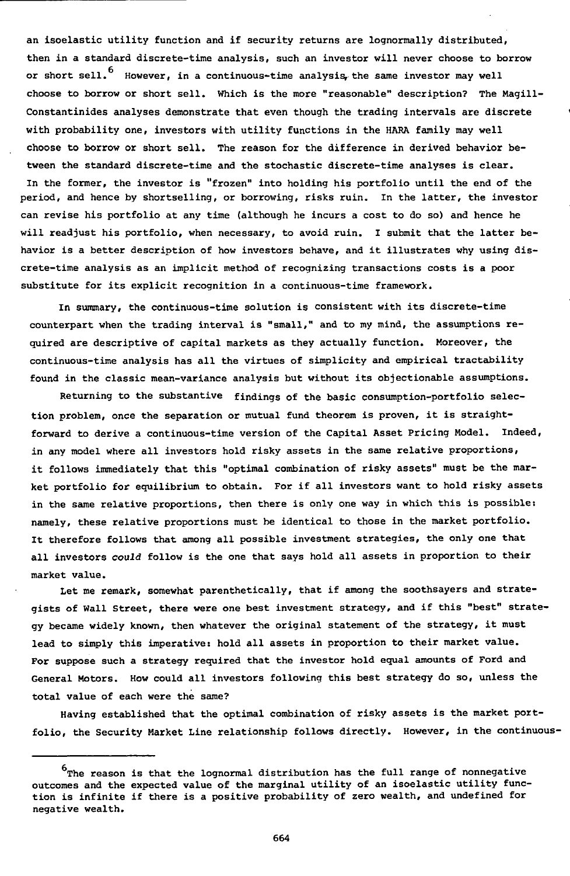an isoelastic utility function and if security returns are lognormally distributed, then in a standard discrete-time analysis, such an investor will never choose to borrow or short sell.<sup>6</sup> However, in a continuous-time analysis, the same investor may well choose to borrow or short sell. Which is the more "reasonable" description? The Magill-Constantinides analyses demonstrate that even though the trading intervals are discrete with probability one, investors with utility functions in the HARA family may well choose to borrow or short sell. The reason for the difference in derived behavior between the standard discrete-time and the stochastic discrete-time analyses is clear. In the former, the investor is "frozen" into holding his portfolio until the end of the period, and hence by shortselling, or borrowing, risks ruin. In the latter, the investor can revise his portfolio at any time (although he incurs a cost to do so) and hence he will readjust his portfolio, when necessary, to avoid ruin. I submit that the latter behavior is a better description of how investors behave, and it illustrates why using discrete-time analysis as an implicit method of recognizing transactions costs is a poor substitute for its explicit recognition in a continuous-time framework.

In summary, the continuous-time solution is consistent with its discrete-time counterpart when the trading interval is "small," and to my mind, the assumptions required are descriptive of capital markets as they actually function. Moreover, the continuous-time analysis has all the virtues of simplicity and empirical tractability found in the classic mean-variance analysis but without its objectionable assumptions.

Returning to the substantive findings of the basic consumption-portfolio selection problem, once the separation or mutual fund theorem is proven, it is straightforward to derive a continuous-time version of the Capital Asset Pricing Model. Indeed, in any model where all investors hold risky assets in the same relative proportions, it follows immediately that this "optimal combination of risky assets" must be the market portfolio for equilibrium to obtain. For if all investors want to hold risky assets in the same relative proportions, then there is only one way in which this is possible: namely, these relative proportions must be identical to those in the market portfolio. It therefore follows that among all possible investment strategies, the only one that all investors couid follow is the one that says hold all assets in proportion to their market value.

Let me remark, somewhat parenthetically, that if among the soothsayers and strategists of Wall Street, there were one best investment strategy, and if this "best" strategy became widely known, then whatever the original statement of the strategy, it must lead to simply this imperative: hold all assets in proportion to their market value. For suppose such a strategy required that the investor hold equal amounts of Ford and General Motors. How could all investors following this best strategy do so, unless the total value of each were the same?

Having established that the optimal combination of risky assets is the market portfolio, the Security Market Line relationship follows directly. However, in the continuous-

 $^{\text{6}}$ The reason is that the lognormal distribution has the full range of nonnegative outcomes and the expected value of the marginal utility of an isoelastic utility function is infinite if there is a positive probability of zero wealth, and undefined for negative wealth.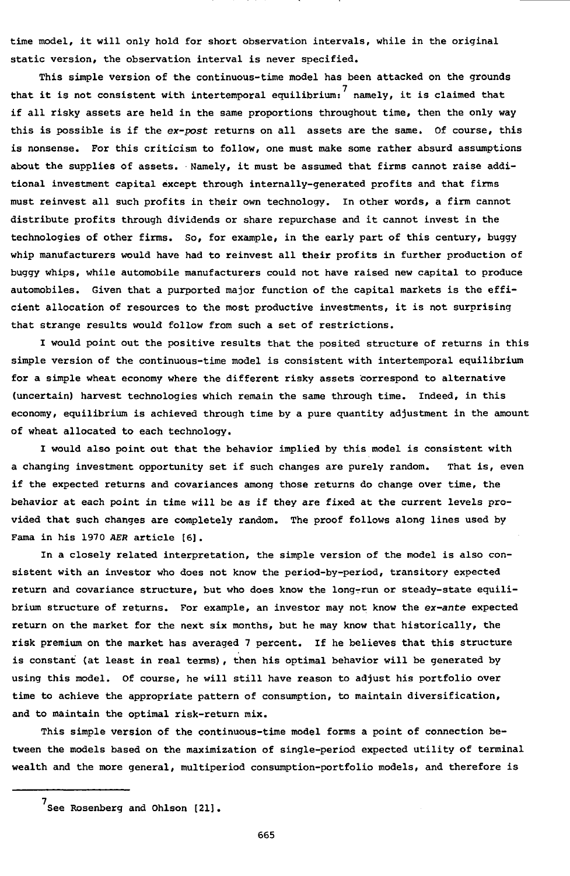time model, it will only hold for short observation intervals, while in the original static version, the observation interval is never specified.

This simple version of the continuous-time model has been attacked on the grounds that it is not consistent with intertemporal equilibrium:  $\frac{7}{1}$  namely, it is claimed that if all risky assets are held in the same proportions throughout time, then the only way this is possible is if the ex-post returns on all assets are the same. Of course, this is nonsense. For this criticism to follow, one must make some rather absurd assumptions about the supplies of assets. Namely, it must be assumed that firms cannot raise additional investment capital except through internally-generated profits and that firms must reinvest all such profits in their own technology. In other words, a firm cannot distribute profits through dividends or share repurchase and it cannot invest in the technologies of other firms. So, for example, in the early part of this century, buggy whip manufacturers would have had to reinvest all their profits in further production of buggy whips, while automobile manufacturers could not have raised new capital to produce automobiles. Given that a purported major function of the capital markets is the efficient allocation of resources to the most productive investments, it is not surprising that strange results would follow from such a set of restrictions.

I would point out the positive results that the posited structure of returns in this simple version of the continuous-time model is consistent with intertemporal equilibrium for a simple wheat economy where the different risky assets correspond to alternative (uncertain) harvest technologies which remain the same through time. Indeed, in this economy, equilibrium is achieved through time by a pure quantity adjustment in the amount of wheat allocated to each technology.

I would also point out that the behavior implied by this model is consistent with a changing investment opportunity set if such changes are purely random. That is, even if the expected returns and covariances among those returns do change over time, the behavior at each point in time will be as if they are fixed at the current levels provided that such changes are completely random. The proof follows along lines used by Fama in his 1970 AER article [6] .

In a closely related interpretation, the simple version of the model is also consistent with an investor who does not know the period-by-period, transitory expected return and covariance structure, but who does know the long-run or steady-state equilibrium structure of returns. For example, an investor may not know the ex-ante expected return on the market for the next six months, but he may know that historically, the risk premium on the market has averaged 7 percent. If he believes that this structure is constant (at least in real terms), then his optimal behavior will be generated by using this model. Of course, he will still have reason to adjust his portfolio over time to achieve the appropriate pattern of consumption, to maintain diversification, and to maintain the optimal risk-return mix.

This simple version of the continuous-time model forms a point of connection between the models based on the maximization of single-period expected utility of terminal wealth and the more general, multiperiod consumption-portfolio models, and therefore is

<sup>7</sup> See Rosenberg and Ohlson [21].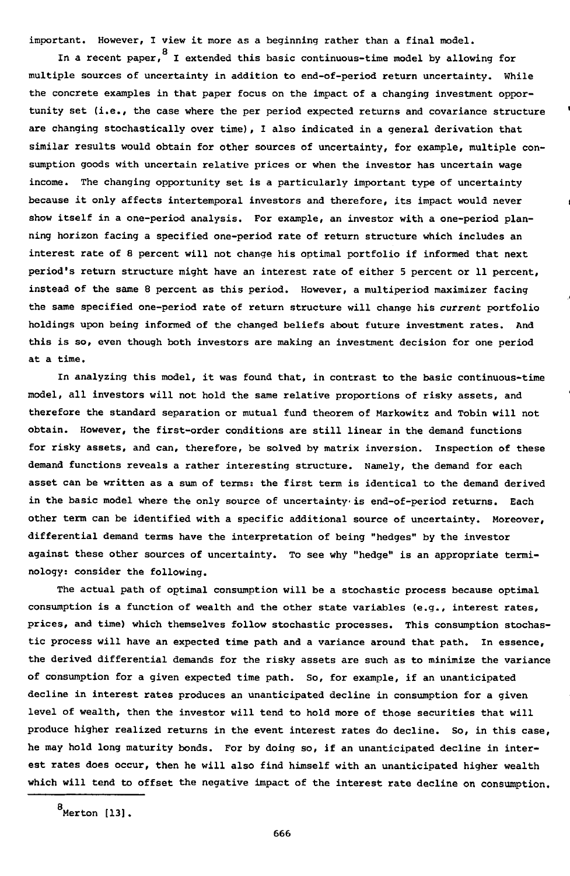important. However, I view it more as a beginning rather than a final model.

ç

In a recent paper, I extended this basic continuous-time model by allowing for multiple sources of uncertainty in addition to end-of-period return uncertainty. While the concrete examples in that paper focus on the impact of a changing investment opportunity set (i.e., the case where the per period expected returns and covariance structure are changing stochastically over time), 1 also indicated in a general derivation that similar results would obtain for other sources of uncertainty, for example, multiple consumption goods with uncertain relative prices or when the investor has uncertain wage income. The changing opportunity set is a particularly important type of uncertainty because it only affects intertemporal investors and therefore, its impact would never show itself in a one-period analysis. For example, an investor with a one-period planning horizon facing a specified one-period rate of return structure which includes an interest rate of 8 percent will not change his optimal portfolio if informed that next period's return structure might have an interest rate of either 5 percent or 11 percent, instead of the same 8 percent as this period. However, a multiperiod maximizer facing the same specified one-period rate of return structure will change his current portfolio holdings upon being informed of the changed beliefs about future investment rates. And this is so, even though both investors are making an investment decision for one period at a time.

In analyzing this model, it was found that, in contrast to the basic continuous-time model, all investors will not hold the same relative proportions of risky assets, and therefore the standard separation or mutual fund theorem of Markowitz and Tobin will not obtain. However, the first-order conditions are still linear in the demand functions for risky assets, and can, therefore, be solved by matrix inversion. Inspection of these demand functions reveals a rather interesting structure. Namely, the demand for each asset can be written as a sum of terms: the first term is identical to the demand derived in the basic model where the only source of uncertainty is end-of-period returns. Each other term can be identified with a specific additional source of uncertainty. Moreover, differential demand terms have the interpretation of being "hedges" by the investor against these other sources of uncertainty. To see why "hedge" is an appropriate terminology: consider the following.

The actual path of optimal consumption will be a stochastic process because optimal consumption is a function of wealth and the other state variables (e.g., interest rates, prices, and time) which themselves follow stochastic processes. This consumption stochastic process will have an expected time path and a variance around that path. In essence, the derived differential demands for the risky assets are such as to minimize the variance of consumption for a given expected time path. So, for example, if an unanticipated decline in interest rates produces an unanticipated decline in consumption for a given level of wealth, then the investor will tend to hold more of those securities that will produce higher realized returns in the event interest rates do decline. So, in this case, he may hold long maturity bonds. For by doing so, if an unanticipated decline in interest rates does occur, then he will also find himself with an unanticipated higher wealth which will tend to offset the negative impact of the interest rate decline on consumption.

 $<sup>8</sup>$ Merton [13].</sup>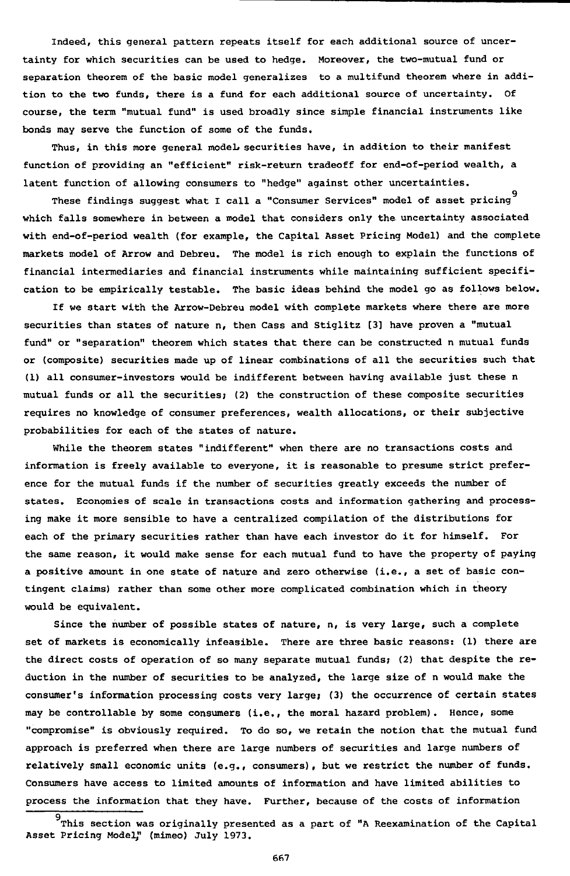Indeed, this general pattern repeats itself for each additional source of uncertainty for which securities can be used to hedge. Moreover, the two-mutual fund or separation theorem of the basic model generalizes to a multifund theorem where in addition to the two funds, there is a fund for each additional source of uncertainty. course, the term "mutual fund" is used broadly since simple financial instruments like bonds may serve the function of some of the funds.

Thus, in this more general model securities have, in addition to their manifest function of providing an "efficient" risk-return tradeoff for end-of-period wealth, a latent function of allowing consumers to "hedge" against other uncertainties.

9 These findings suggest what I call a "Consumer Services" model of asset pricing which falls somewhere in between a model that considers only the uncertainty associated with end-of-period wealth (for example, the Capital Asset Pricing Model) and the complete markets model of Arrow and Debreu. The model is rich enough to explain the functions of financial intermediaries and financial instruments while maintaining sufficient specification to be empirically testable. The basic ideas behind the model go as follows below.

If we start with the Arrow-Debreu model with complete markets where there are more securities than states of nature n, then Cass and Stiglitz [3] have proven a "mutual fund" or "separation" theorem which states that there can be constructed n mutual funds or (composite) securities made up of linear combinations of all the securities such that (1) all consumer-investors would be indifferent between having available just these n mutual funds or all the securities; (2) the construction of these composite securities requires no knowledge of consumer preferences, wealth allocations, or their subjective probabilities for each of the states of nature.

While the theorem states "indifferent" when there are no transactions costs and information is freely available to everyone, it is reasonable to presume strict preference for the mutual funds if the number of securities greatly exceeds the number of states. Economies of scale in transactions costs and information gathering and processing make it more sensible to have a centralized compilation of the distributions for each of the primary securities rather than have each investor do it for himself. For the same reason, it would make sense for each mutual fund to have the property of paying a positive amount in one state of nature and zero otherwise (i.e., a set of basic contingent claims) rather than some other more complicated combination which in theory would be equivalent.

Since the number of possible states of nature, n, is very large, such a complete set of markets is economically infeasible. There are three basic reasons: (1) there are the direct costs of operation of so many separate mutual funds; (2) that despite the reduction in the number of securities to be analyzed, the large size of n would make the consumer's information processing costs very large; (3) the occurrence of certain states may be controllable by some consumers (i.e., the moral hazard problem). Hence, some "compromise" is obviously required. To do so, we retain the notion that the mutual fund approach is preferred when there are large numbers of securities and large numbers of relatively small economic units (e.g., consumers), but we restrict the number of funds. Consumers have access to limited amounts of information and have limited abilities to process the information that they have. Further, because of the costs of information

This section was originally presented as a part of "A Reexamination of the Capital Asset Pricing Model;' (mimeo) July 1973.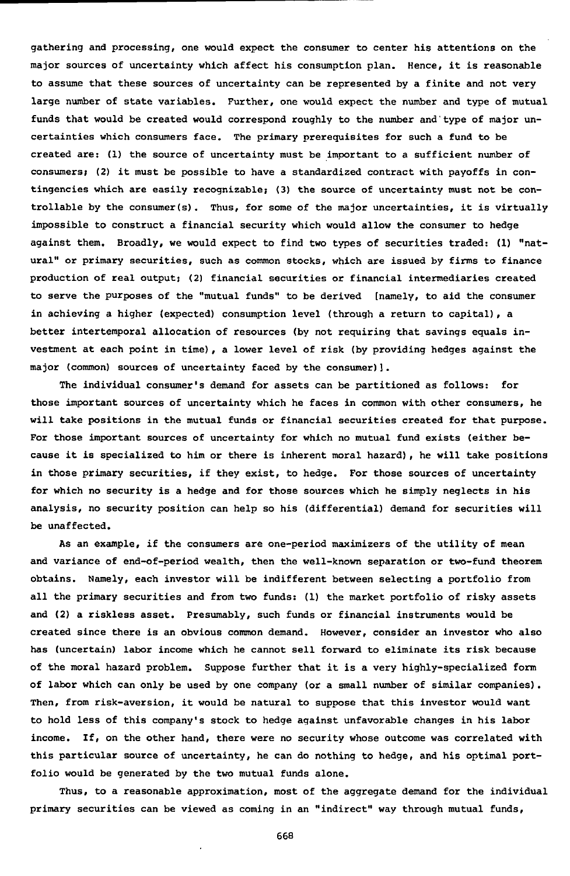gathering and processing, one would expect the consumer to center his attentions on the major sources of uncertainty which affect his consumption plan. Hence, it is reasonable to assume that these sources of uncertainty can be represented by a finite and not very large number of state variables. Further, one would expect the number and type of mutual funds that would be created would correspond roughly to the number and type of major uncertainties which consumers face. The primary prerequisites for such a fund to be created are: (1) the source of uncertainty must be important to a sufficient number of consumers; (2) it must be possible to have a standardized contract with payoffs in contingencies which are easily recognizable; (3) the source of uncertainty must not be controllable by the consumer(s). Thus, for some of the major uncertainties, it is virtually impossible to construct a financial security which would allow the consumer to hedge against them. Broadly, we would expect to find two types of securities traded: (1) "natural" or primary securities, such as common stocks, which are issued by firms to finance production of real output; (2) financial securities or financial intermediaries created to serve the purposes of the "mutual funds" to be derived [namely, to aid the consumer in achieving a higher (expected) consumption level (through a return to capital), a better intertemporal allocation of resources (by not requiring that savings equals investment at each point in time), a lower level of risk (by providing hedges against the major (common) sources of uncertainty faced by the consumer)].

The individual consumer's demand for assets can be partitioned as follows: for those important sources of uncertainty which he faces in common with other consumers, he will take positions in the mutual funds or financial securities created for that purpose. For those important sources of uncertainty for which no mutual fund exists (either because it is specialized to him or there is inherent moral hazard), he will take positions in those primary securities, if they exist, to hedge. For those sources of uncertainty for which no security is a hedge and for those sources which he simply neglects in his analysis, no security position can help so his (differential) demand for securities will be unaffected.

As an example, if the consumers are one-period maximizers of the utility of mean and variance of end-of-period wealth, then the well-known separation or two-fund theorem obtains. Namely, each investor will be indifferent between selecting a portfolio from all the primary securities and from two funds: (1) the market portfolio of risky assets and (2) a riskless asset. Presumably, such funds or financial instruments would be created since there is an obvious common demand. However, consider an investor who also has (uncertain) labor income which he cannot sell forward to eliminate its risk because of the moral hazard problem. Suppose further that it is a very highly-specialized form of labor which can only be used by one company (or a small number of similar companies). Then, from risk-aversion, it would be natural to suppose that this investor would want to hold less of this company's stock to hedge against unfavorable changes in his labor income. If, on the other hand, there were no security whose outcome was correlated with this particular source of uncertainty, he can do nothing to hedge, and his optimal portfolio would be generated by the two mutual funds alone.

Thus, to a reasonable approximation, most of the aggregate demand for the individual primary securities can be viewed as coming in an "indirect" way through mutual funds,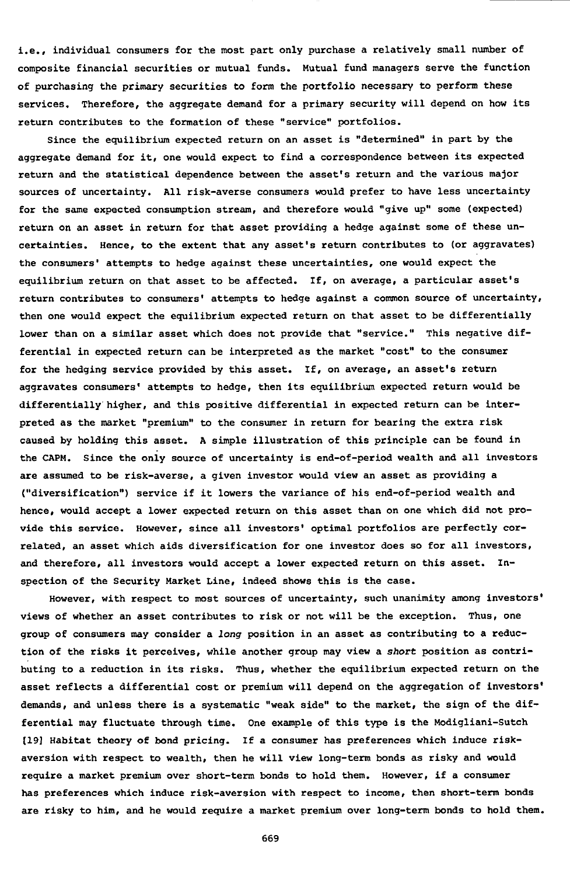**i.e., individual consumers for the most part only purchase a relatively small number of composite financial securities or mutual funds. Mutual fund managers serve the function of purchasing the primary securities to form the portfolio necessary to perform these services. Therefore, the aggregate demand for a primary security will depend on how its return contributes to the formation of these "service" portfolios.**

**Since the equilibrium expected return on an asset is "determined" in part by the aggregate demand for it, one would expect to find a correspondence between its expected return and the statistical dependence between the asset's return and the various major sources of uncertainty. All risk-averse consumers would prefer to have less uncertainty for the Scime expected consumption stream, and therefore would "give up" some (expected) return on an asset in return for that asset providing a hedge against some of these uncertainties. Hence, to the extent that any asset's return contributes to (or aggravates) the consumers' attempts to hedge against these uncertainties, one would expect the equilibrium return on that asset to be affected. If, on average, a particular asset's return contributes to consumers' attempts to hedge against a common source of uncertainty, then one would expect the equilibrium expected return on that asset to be differentially lower than on a similar asset which does not provide that "service." This negative differential in expected return can be interpreted as the market "cost" to the consumer for the hedging service provided by this asset. If, on average, an asset's return aggravates consumers' attempts to hedge, then its equilibrium expected return would be differentially higher, and this positive differential in expected return can be interpreted as the market "premium" to the consumer in return for bearing the extra risk caused by holding this asset. A simple illustration of this principle can be found in the CAPM. Since the only source of uncertainty is end-of-period wealth and all investors are assumed to be risk-averse, a given investor would view an asset as providing a ("diversification") service if it lowers the variance of his end-of-period wealth and hence, would accept a lower expected return on this asset than on one which did not provide this service. However, since all investors' optimal portfolios are perfectly correlated, an asset which aids diversification for one investor does so for all investors, and therefore, all investors would accept a lower expected return on this asset. Inspection of the Security Market Line, indeed shows this is the case.**

**However, with respect to most sources of uncertainty, such unanimity among investors' views of whether an asset contributes to risk or not will be the exception. Thus, one group of consumers may consider a long position in an asset as contributing to a reduction of the risks it perceives, while another group may view a short position as contributing to a reduction in its risks. Thus, whether the equilibrium expected return on the asset reflects a differential cost or premium will depend on the aggregation of investors' demands, and unless there is a systematic "weak side" to the market, the sign of the differential may fluctuate through time. One example of this type is the Modigliani-Sutch [19] Habitat theory of bond pricing. If a consumer has preferences which induce riskaversion with respect to wealth, then he will view long-term bonds as risky and would require a market premium over short-term bonds to hold them. However, if a consumer has preferences which induce risk-aversion with respect to income, then short-term bonds are risky to him, and he would require a market premium over long-term bonds to hold them.**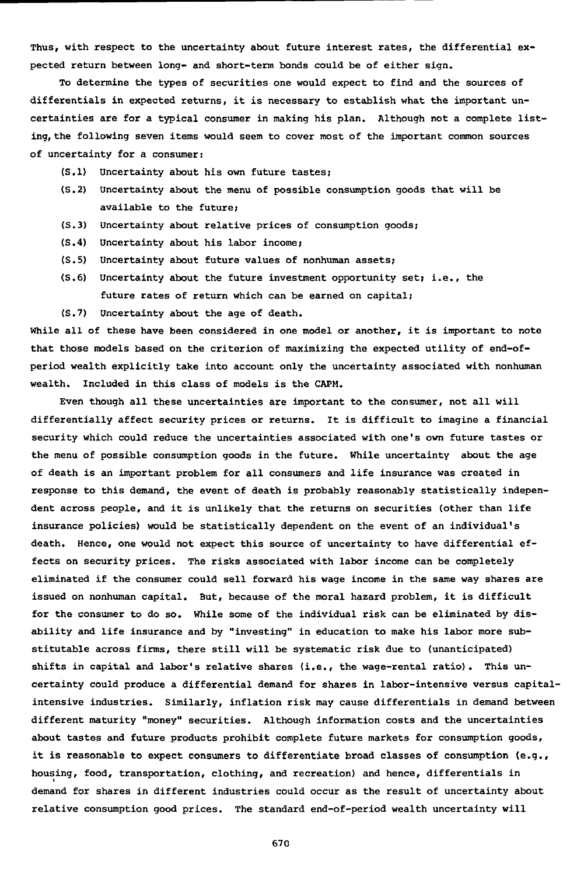Thus, with respect to the uncertainty about future interest rates, the differential expected return between long- and short-term bonds could be of either sign.

To determine the types of securities one would expect to find and the sources of differentials in expected returns, it is necessary to establish what the important uncertainties are for a typical consumer in making his plan. Although not a complete listing, the following seven items would seem to cover most of the important common sources of uncertainty for a consumer:

- (5.1) Uncertainty about his own future tastes;
- (5.2) Uncertainty about the menu of possible consumption goods that will be available to the future;
- (5.3) Uncertainty about relative prices of consumption goods;
- (5.4) Uncertainty about his labor income;
- (5.5) Uncertainty about future values of nonhuman assets;
- (5.6) Uncertainty about the future investment opportunity set; i.e., the future rates of return which can be earned on capital;
- (5.7) Uncertainty about the age of death.

While all of these have been considered in one model or another, it is important to note that those models based on the criterion of maximizing the expected utility of end-ofperiod wealth explicitly take into account only the uncertainty associated with nonhuman wealth. Included in this class of models is the CAPM.

Even though all these uncertainties are important to the consumer, not all will differentially affect security prices or returns. It is difficult to imagine a financial security which could reduce the uncertainties associated with one's own future tastes or the menu of possible consumption goods in the future. While uncertainty about the age of death is an important problem for all consumers and life insurance was created in response to this demand, the event of death is probably reasonably statistically independent across people, and it is unlikely that the returns on securities (other than life insurance policies) would be statistically dependent on the event of an individual's death. Hence, one would not expect this source of uncertainty to have differential effects on security prices. The risks associated with labor income can be completely eliminated if the consumer could sell forward his wage income in the same way shares are issued on nonhuman capital. But, because of the moral hazard problem, it is difficult for the consumer to do so. While some of the individual risk can be eliminated by disability and life insurance and by "investing" in education to make his labor more substitutable across firms, there still will be systematic risk due to (unanticipated) shifts in capital and labor's relative shares (i.e., the wage-rental ratio). This uncertainty could produce a differential demand for shares in labor-intensive versus capitalintensive industries. Similarly, inflation risk may cause differentials in demand between different maturity "money" securities. Although information costs and the uncertainties about tastes and future products prohibit complete future markets for consumption goods, it is reasonable to expect consumers to differentiate broad classes of consumption (e.g., housing, food, transportation, clothing, and recreation) and hence, differentials in demand for shares in different industries could occur as the result of uncertainty about relative consumption good prices. The standard end-of-period wealth uncertainty will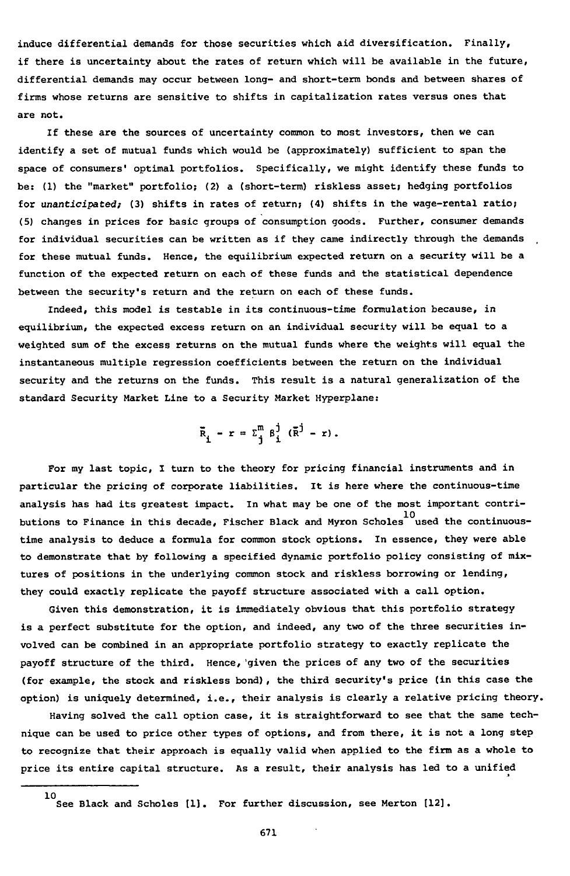**induce differential demands for those securities which aid diversification. Finally, if there is uncertainty about the rates of return which will be available in the future, differential demands may occur between long- and short-term bonds and between shares of firms whose returns are sensitive to shifts in capitalization rates versus ones that are not.**

**If these are the sources of uncertainty common to most investors, then we can identify a set of mutual funds which would be (approximately) sufficient to span the space of consumers' optimal portfolios. Specifically, we might identify these funds to be: (1) the "market" portfolio; (2) a (short-term) riskless asset; hedging portfolios for unanticipated; (3) shifts in rates of return; (4) shifts in the wage-rental ratio; (5) changes in prices for basic groups of consumption goods. Further, consumer demands for individual securities can be written as if they came indirectly through the demands , for these mutual funds. Hence, the equilibrium expected return on a security will be a function of the expected return on each of these funds and the statistical dependence between the security's return and the return on each of these funds.**

**Indeed, this model is testable in its continuous-time formulation because, in equilibrium, the expected excess return on an individual security will be equal to a weighted sum of the excess returns on the mutual funds where the weights will equal the instantaneous multiple regression coefficients between the return on the individual security and the returns on the funds. This result is a natural generalization of the standard Security Market Line to a Security Market Hyperplane:**

 $\overline{R}$  -  $r = \Sigma^m$   $\beta^{\dagger}$  ( $\overline{R}^{\dagger}$  - r).

**For my last topic, I turn to the theory for pricing financial instruments and in particular the pricing of corporate liabilities. It is here where the continuous-time analysis has had its greatest impact. In what may be one of the most important contri**butions to Finance in this decade, Fischer Black and Myron Scholes used the continuoustime analysis to deduce a formula for common stock options. In essence, they were able to demonstrate that by following a specified dynamic portfolio policy consisting of mixtures of positions in the underlying common stock and riskless borrowing or lending, they could exactly replicate the payoff structure associated with a call option.

Given this demonstration, it is immediately obvious that this portfolio strategy is a perfect substitute for the option, and indeed, any two of the three securities involved can be combined in an appropriate portfolio strategy to exactly replicate the payoff structure of the third. Hence, given the prices of any two of the securities (for example, the stock and riskless bond), the third security's price (in this case the option) is uniquely determined, i.e., their analysis is clearly a relative pricing theory.

Having solved the call option case, it is straightforward to see that the same techhique can be used to price other types of options, and from there, it is not a long step to recognize that their approach is equally valid when applied to the firm as a whole to price its entire capital structure. As a result, their analysis has led to a unified **price its entire capital structure. As a result, their analysis has led to a unified**

**<sup>10</sup> See Black and Scholes [1]. For further discussion, see Merton [12].**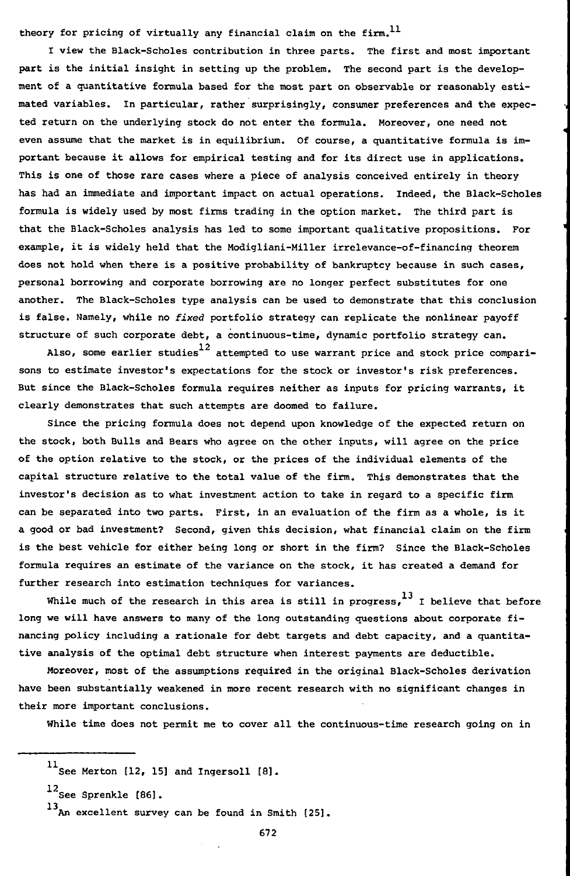theory for pricing of virtually any financial claim on the firm.<sup>11</sup>

I view the Black-Scholes contribution in three parts. The first and most important part is the initial insight in setting up the problem. The second part is the development of a quantitative formula based for the most part on observable or reasonably estimated variables. In particular, rather surprisingly, consumer preferences and the expected return on the underlying stock do not enter the formula. Moreover, one need not even assume that the market is in equilibrium. Of course, a quantitative formula is important because it allows for empirical testing and for its direct use in applications. This is one of those rare cases where a piece of analysis conceived entirely in theory has had an immediate and important impact on actual operations. Indeed, the Black-Scholes formula is widely used by most firms trading in the option market. The third part is that the Black-Scholes analysis has led to some important qualitative propositions. For example, it is widely held that the Modigliani-Miller irrelevance-of-financing theorem does not hold when there is a positive probability of bankruptcy because in such cases, personal borrowing and corporate borrowing are no longer perfect substitutes for one another. The Black-Scholes type analysis can be used to demonstrate that this conclusion is false. Namely, while no fixed portfolio strategy can replicate the nonlinear payoff structure of such corporate debt, a continuous-time, dynamic portfolio strategy can.

Also, some earlier studies $^{12}$  attempted to use warrant price and stock price comparisons to estimate investor's expectations for the stock or investor's risk preferences. But since the Black-Scholes formula requires neither as inputs for pricing warrants, it clearly demonstrates that such attempts are doomed to failure.

Since the pricing formula does not depend upon knowledge of the expected return on the stock, both Bulls and Bears who agree on the other inputs, will agree on the price of the option relative to the stock, or the prices of the individual elements of the capital structure relative to the total value of the firm. This demonstrates that the investor's decision as to what investment action to take in regard to a specific firm can be separated into two parts. First, in an evaluation of the firm as a whole, is it a good or bad investment? Second, given this decision, what financial claim on the firm is the best vehicle for either being long or short in the firm? Since the Black-Scholes formula requires an estimate of the variance on the stock, it has created a demand for further research into estimation techniques for variances.

While much of the research in this area is still in progress,  $^{13}$  I believe that before long we will have answers to many of the long outstanding questions about corporate financing policy including a rationale for debt targets and debt capacity, and a quantitative analysis of the optimal debt structure when interest payments are deductible.

Moreover, most of the assumptions required in the original Black-Scholes derivation have been substantially weakened in more recent research with no significant changes in their more important conclusions.

While time does not permit me to cover all the continuous-time research going on in

 $^{11}$ See Merton [12, 15] and Ingersoll [8].

<sup>12&</sup>lt;br>See Sprenkle [86].

<sup>13&</sup>lt;sub>An</sub> excellent survey can be found in Smith [25].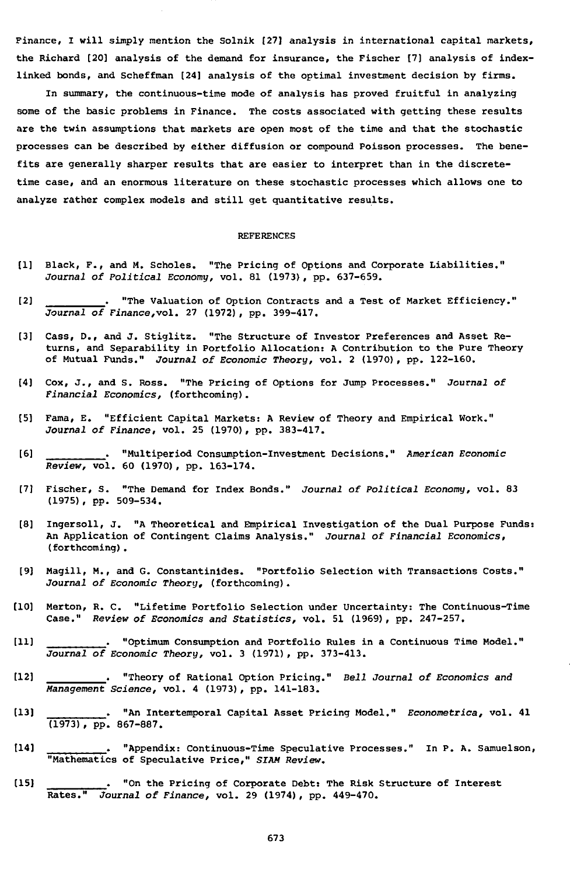Finance, I will simply mention the Solnik [27] analysis in international capital markets, the Richard [20] analysis of the demand for insurance, the Fischer [7] analysis of indexlinked bonds, and Scheffman [24] analysis of the optimal investment decision by firms.

In summary, the continuous-time mode of analysis has proved fruitful in analyzing some of the basic problems in Finance. The costs associated with getting these results are the twin assumptions that markets are open most of the time and that the stochastic processes can be described by either diffusion or compound Poisson processes. The benefits are generally sharper results that are easier to interpret than in the discretetime case, and an enormous literature on these stochastic processes which allows one to analyze rather complex models and still get quantitative results.

## REFERENCES

- [1] Black, F., and M. Scholes. "The Pricing of Options and Corporate Liabilities." Journal of Political Economy, vol. 81 (1973), pp. 637-659.
- [2] . "The Valuation of Option Contracts and a Test of Market Efficiency." Journal of Finance,vol. 27 (1972), pp. 399-417.
- [3] Cass, D., and J. Stiglitz. "The Structure of Investor Preferences and Asset Returns, and Separability in Portfolio Allocation: A Contribution to the Pure Theory of Mutual Funds." Journal of Economic Theory, vol. 2 (1970), pp. 122-160.
- [4] Cox, J., and S. Ross. "The Pricing of Options for Jump Processes." Journal of Financial Economics, (forthcoming).
- [5] Fama, E. "Efficient Capital Markets: A Review of Theory and Empirical Work." Journal of Finance, vol. 25 (1970), pp. 383-417.
- [6] . "Multiperiod Consumption-Investment Decisions." American Economic Review, vol. 60 (1970) , pp. 163-174.
- [7] Fischer, S. "The Demand for Index Bonds." Journal of Political Economy, vol. 83 (1975) , pp. 509-534.
- [8] Ingersoll, J. "A Theoretical and Empirical Investigation of the Dual Purpose Funds: An Application of Contingent Claims Analysis." Journal of Financial Economics, (forthcoming).
- [9] Magill, M., and G. Constantinides. "Portfolio Selection with Transactions Costs." Journal of Economic Theory, (forthcoming).
- [10] Merton, R. C. "Lifetime Portfolio Selection under Uncertainty: The Continuous-Time Case." Review of Economics and Statistics, vol. 51 (1969) , pp. 247-257.
- [11] . "Optimum Consumption and Portfolio Rules in a Continuous Time Model." Journal of Economic Theory, vol. 3 (1971), pp. 373-413.
- [12] . "Theory of Rational Option Pricing." Beii Journal of Economics and Management Science, vol. 4 (1973), pp. 141-183.
- [13] . "An Intertemporal Capital Asset Pricing Model." Econometrica, vol. 41 (1973), pp. 867-887.
- [14] . "Appendix: Continuous-Time Speculative Processes." In P. A. Samuelson, "Mathematics of Speculative Price," SIAM Review.
- [15] . "On the Pricing of Corporate Debt: The Risk Structure of Interest Rates." Journai of Finance, vol. 29 (1974), pp. 449-470.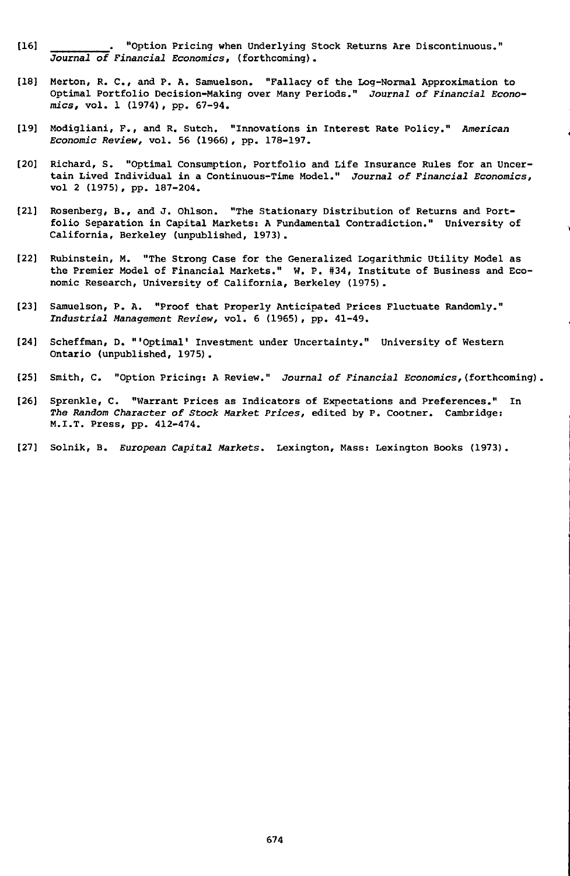- [16] . "Option Pricing when Underlying Stock Returns Are Discontinuous." Journal of Financial Economics, (forthcoming).
- [18] Merton, R. C , and P. A. Samuelson. "Fallacy of the Log-Normal Approximation to Optimal Portfolio Decision-Making over Many Periods." Journal of Financial Economics, vol. 1 (1974), pp. 67-94.
- [19] Modigliani, F., and R. Sutch. "Innovations in Interest Rate Policy." American Economic Review, vol. 56 (1966), pp. 178-197.
- [20] Richard, S. "Optimal Consumption, Portfolio and Life Insurance Rules for an Uncertain Lived Individual in a Continuous-Time Model." Journal of Financial Economics, vol 2 (1975), pp. 187-204.
- [21] Rosenberg, B., and J. Ohlson. "The Stationary Distribution of Returns and Portfolio Separation in Capital Markets: A Fundamental Contradiction." University of California, Berkeley (unpublished, 1973).
- [22] Rubinstein, M. "The Strong Case for the Generalized Logarithmic Utility Model as the Premier Model of Financial Markets." W. P. #34, Institute of Business and Economic Research, University of California, Berkeley (1975).
- [23] Samuelson, P. A. "Proof that Properly Anticipated Prices Fluctuate Randomly." Jndustriai Management Review, vol. 6 (1965), pp. 41-49.
- [24] Scheffman, D. "'Optimal' Investment under Uncertainty." University of Western Ontario (unpublished, 1975).
- [25] Smith, C. "Option Pricing: A Review." Journal of Financial Economics,(forthcoming),
- [26] Sprenkle, C. "Warrant Prices as Indicators of Expectations and Preferences." In The Random Character of Stock Market Prices, edited by P. Cootner. Cambridge: M.I.T. Press, pp. 412-474.
- [27] Solnik, B. European Capital Markets. Lexington, Mass: Lexington Books (1973).